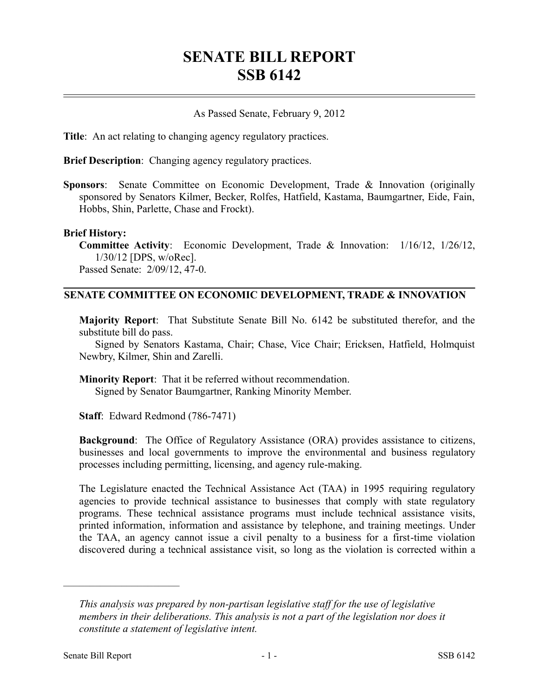# **SENATE BILL REPORT SSB 6142**

## As Passed Senate, February 9, 2012

**Title**: An act relating to changing agency regulatory practices.

**Brief Description**: Changing agency regulatory practices.

**Sponsors**: Senate Committee on Economic Development, Trade & Innovation (originally sponsored by Senators Kilmer, Becker, Rolfes, Hatfield, Kastama, Baumgartner, Eide, Fain, Hobbs, Shin, Parlette, Chase and Frockt).

#### **Brief History:**

**Committee Activity**: Economic Development, Trade & Innovation: 1/16/12, 1/26/12, 1/30/12 [DPS, w/oRec]. Passed Senate: 2/09/12, 47-0.

### **SENATE COMMITTEE ON ECONOMIC DEVELOPMENT, TRADE & INNOVATION**

**Majority Report**: That Substitute Senate Bill No. 6142 be substituted therefor, and the substitute bill do pass.

Signed by Senators Kastama, Chair; Chase, Vice Chair; Ericksen, Hatfield, Holmquist Newbry, Kilmer, Shin and Zarelli.

**Minority Report**: That it be referred without recommendation.

Signed by Senator Baumgartner, Ranking Minority Member.

**Staff**: Edward Redmond (786-7471)

**Background**: The Office of Regulatory Assistance (ORA) provides assistance to citizens, businesses and local governments to improve the environmental and business regulatory processes including permitting, licensing, and agency rule-making.

The Legislature enacted the Technical Assistance Act (TAA) in 1995 requiring regulatory agencies to provide technical assistance to businesses that comply with state regulatory programs. These technical assistance programs must include technical assistance visits, printed information, information and assistance by telephone, and training meetings. Under the TAA, an agency cannot issue a civil penalty to a business for a first-time violation discovered during a technical assistance visit, so long as the violation is corrected within a

––––––––––––––––––––––

*This analysis was prepared by non-partisan legislative staff for the use of legislative members in their deliberations. This analysis is not a part of the legislation nor does it constitute a statement of legislative intent.*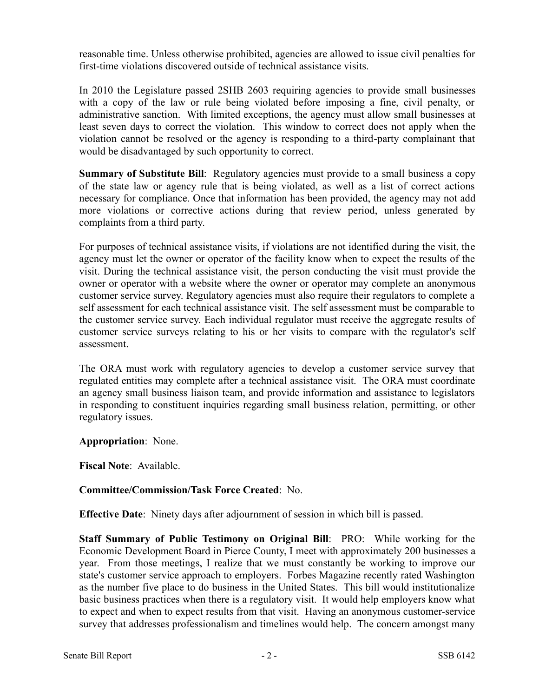reasonable time. Unless otherwise prohibited, agencies are allowed to issue civil penalties for first-time violations discovered outside of technical assistance visits.

In 2010 the Legislature passed 2SHB 2603 requiring agencies to provide small businesses with a copy of the law or rule being violated before imposing a fine, civil penalty, or administrative sanction. With limited exceptions, the agency must allow small businesses at least seven days to correct the violation. This window to correct does not apply when the violation cannot be resolved or the agency is responding to a third-party complainant that would be disadvantaged by such opportunity to correct.

**Summary of Substitute Bill**: Regulatory agencies must provide to a small business a copy of the state law or agency rule that is being violated, as well as a list of correct actions necessary for compliance. Once that information has been provided, the agency may not add more violations or corrective actions during that review period, unless generated by complaints from a third party.

For purposes of technical assistance visits, if violations are not identified during the visit, the agency must let the owner or operator of the facility know when to expect the results of the visit. During the technical assistance visit, the person conducting the visit must provide the owner or operator with a website where the owner or operator may complete an anonymous customer service survey. Regulatory agencies must also require their regulators to complete a self assessment for each technical assistance visit. The self assessment must be comparable to the customer service survey. Each individual regulator must receive the aggregate results of customer service surveys relating to his or her visits to compare with the regulator's self assessment.

The ORA must work with regulatory agencies to develop a customer service survey that regulated entities may complete after a technical assistance visit. The ORA must coordinate an agency small business liaison team, and provide information and assistance to legislators in responding to constituent inquiries regarding small business relation, permitting, or other regulatory issues.

**Appropriation**: None.

**Fiscal Note**: Available.

# **Committee/Commission/Task Force Created**: No.

**Effective Date**: Ninety days after adjournment of session in which bill is passed.

**Staff Summary of Public Testimony on Original Bill**: PRO: While working for the Economic Development Board in Pierce County, I meet with approximately 200 businesses a year. From those meetings, I realize that we must constantly be working to improve our state's customer service approach to employers. Forbes Magazine recently rated Washington as the number five place to do business in the United States. This bill would institutionalize basic business practices when there is a regulatory visit. It would help employers know what to expect and when to expect results from that visit. Having an anonymous customer-service survey that addresses professionalism and timelines would help. The concern amongst many